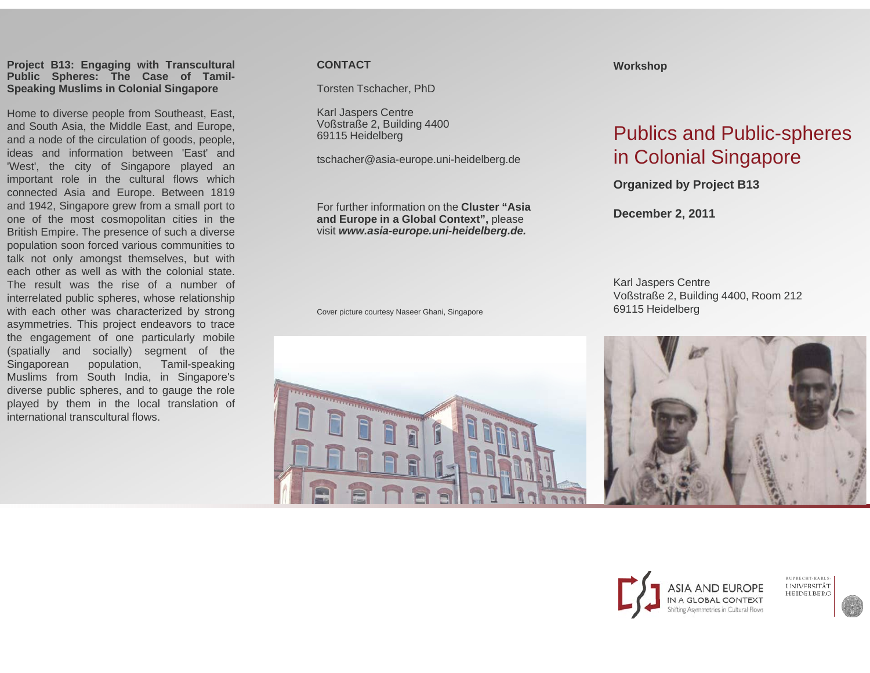#### **Project B13: Engaging with Transcultural Public Spheres: The Case of Tamil-Speaking Muslims in Colonial Singapore**

**Speaking Muslims in Colonial Singapore** Tschacher, Karl Jaspers Centre Home to diverse people from Southeast, East, and South Asia, the Middle East, and Europe, and <sup>a</sup> node of the circulation of goods, people, ideas and information between 'East' and'West', the city of Singapore played an important role in the cultural flows which connected Asia and Europe. Between 1819 and 1942, Singapore grew from <sup>a</sup> small port to one of the most cosmopolitan cities in the British Empire. The presence of such <sup>a</sup> diverse population soon forced various communities to talk not only amongst themselves, but with each other as well as with the colonial state. The result was the rise of a number ofinterrelated public spheres, whose relationship with each other was characterized by strong asymmetries. This project endeavors to trace the engagement of one particularly mobile (spatially and socially) segment of the Singaporean population, Tamil-speaking Muslims from South India, in Singapore's diverse public spheres, and to gauge the role played by them in the local translation of international transcultural flows.

## **CONTACT**

Torsten Tschacher, PhD

Voßstraße 2, Building 4 440069115 Heidelberg

tschacher@asia-europe.uni-heidelberg.de

For further information onn the **Cluster "Asia and Europe in a Global l Context",** please visit *www.asia-europe. u ni-heidelberg.de.*

Cover picture courtesy Naseer Ghani, Singapore

### **Workshop**

# Publics and Public-spheres in Colonial Singapore

**Organized by Project B13**

**December 2, 2011**

Karl Jaspers Centre Voßstraße 2, Building 4400, Room 212 69115 Heidelberg





RUPRECHT-KARLS UNIVERSITÄT<br>HEIDELBERG